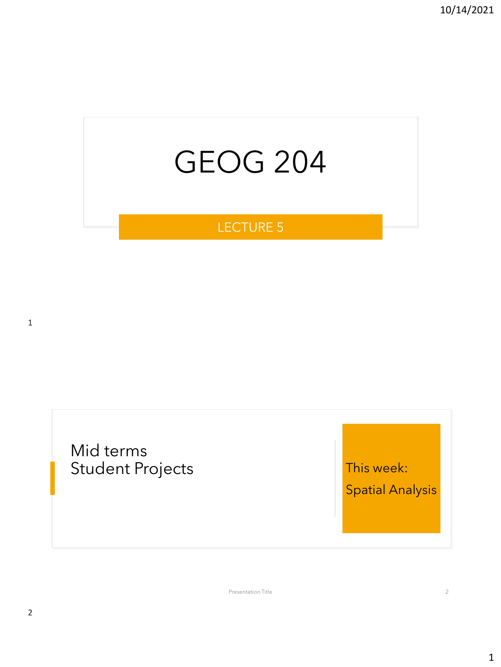# GEOG 204

### LECTURE 5

1

Mid terms Student Projects **This week:** 

Spatial Analysis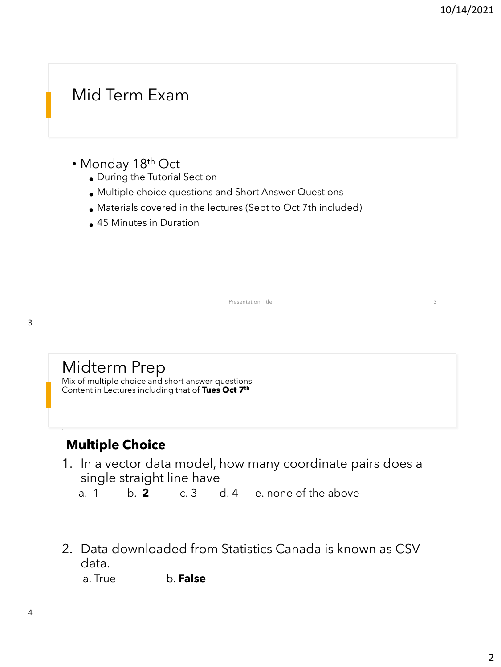## Mid Term Exam

- Monday 18<sup>th</sup> Oct
	- During the Tutorial Section
	- Multiple choice questions and Short Answer Questions
	- Materials covered in the lectures (Sept to Oct 7th included)
	- 45 Minutes in Duration

•

## Midterm Prep

Mix of multiple choice and short answer questions Content in Lectures including that of **Tues Oct 7th**

### **Multiple Choice**

1. In a vector data model, how many coordinate pairs does a single straight line have

Presentation Title 3

a. 1 b. **2** c. 3 d. 4 e. none of the above

2. Data downloaded from Statistics Canada is known as CSV data.

a. True b. **False**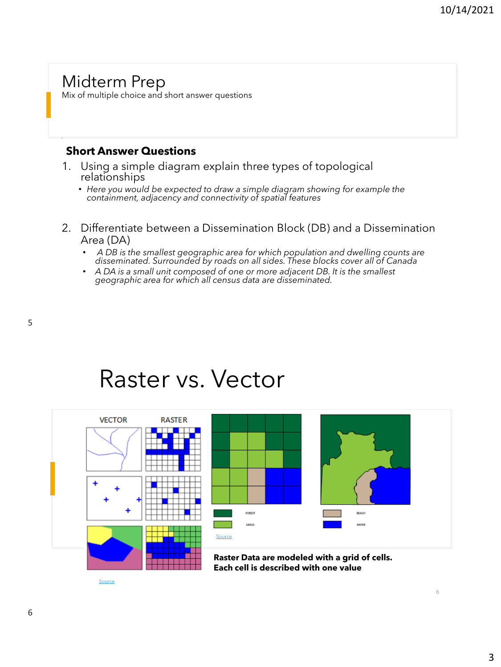### Midterm Prep

Mix of multiple choice and short answer questions

#### **Short Answer Questions**

- 1. Using a simple diagram explain three types of topological relationships
	- *Here you would be expected to draw a simple diagram showing for example the containment, adjacency and connectivity of spatial features*
- 2. Differentiate between a Dissemination Block (DB) and a Dissemination Area (DA)
	- *A DB is the smallest geographic area for which population and dwelling counts are disseminated. Surrounded by roads on all sides. These blocks cover all of Canada*
	- *A DA is a small unit composed of one or more adjacent DB. It is the smallest geographic area for which all census data are disseminated.*

5

## Raster vs. Vector



[Source](https://www.azavea.com/blog/2014/08/21/summer-of-maps-raster-versus-vector-visualization/)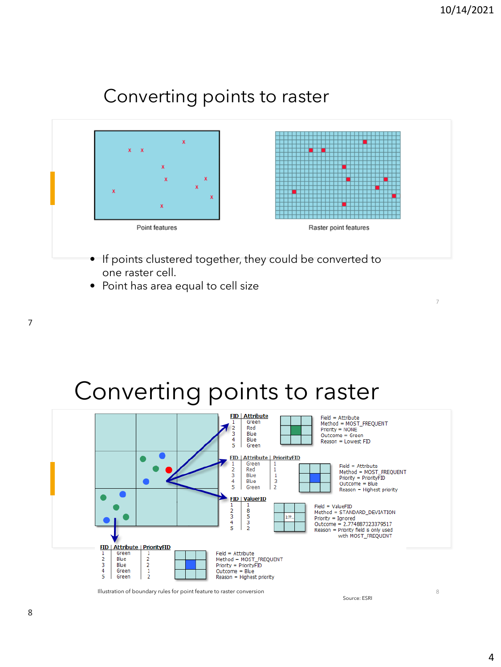### Converting points to raster



- If points clustered together, they could be converted to one raster cell.
- Point has area equal to cell size





Illustration of boundary rules for point feature to raster conversion

Source: ESRI

8

7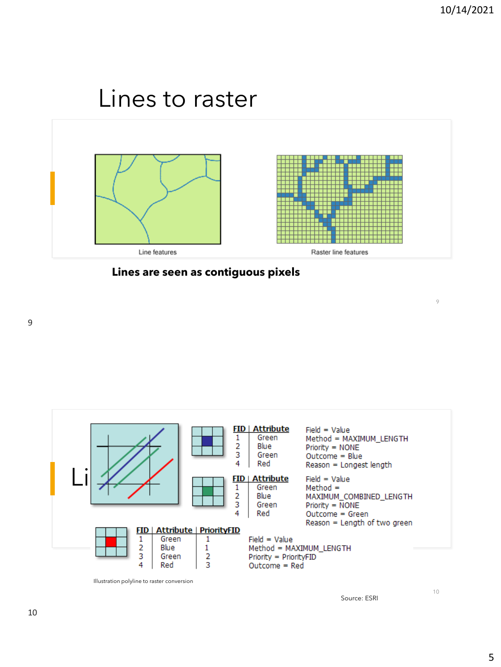## Lines to raster





9



Illustration polyline to raster conversion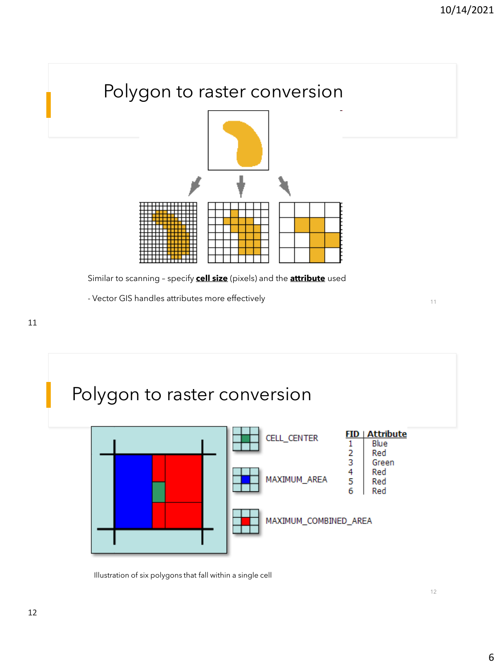

Similar to scanning – specify **cell size** (pixels) and the **attribute** used

- Vector GIS handles attributes more effectively 11 and 20 years of 11 and 211



Illustration of six polygons that fall within a single cell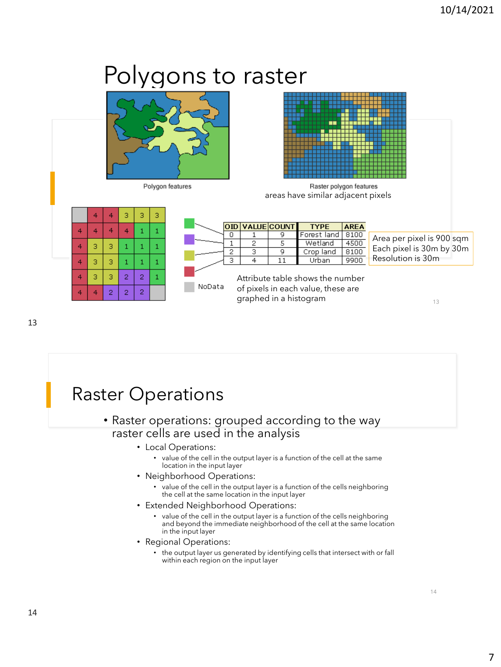## Polygons to raster



Polygon features



Raster polygon features areas have similar adjacent pixels



|        |   | OID VALUE COUNT | TYPE                                                                   | <b>AREA</b> |                           |
|--------|---|-----------------|------------------------------------------------------------------------|-------------|---------------------------|
|        |   |                 | Forest land                                                            | 8100        | Area per pixel is 900 sqm |
|        | 2 |                 | Wetland                                                                | 4500        |                           |
|        | З | ٩               | Crop land                                                              | 8100        | Each pixel is 30m by 30m  |
|        |   |                 | Urban                                                                  | 9900        | Resolution is 30m         |
| NoData |   |                 | Attribute table shows the number<br>of pixels in each value, these are |             |                           |

graphed in a histogram 13

13

## Raster Operations

#### • Raster operations: grouped according to the way raster cells are used in the analysis

- Local Operations:
	- value of the cell in the output layer is a function of the cell at the same location in the input layer
- Neighborhood Operations:
	- value of the cell in the output layer is a function of the cells neighboring the cell at the same location in the input layer
- Extended Neighborhood Operations:
	- value of the cell in the output layer is a function of the cells neighboring and beyond the immediate neighborhood of the cell at the same location in the input layer
- Regional Operations:
	- the output layer us generated by identifying cells that intersect with or fall within each region on the input layer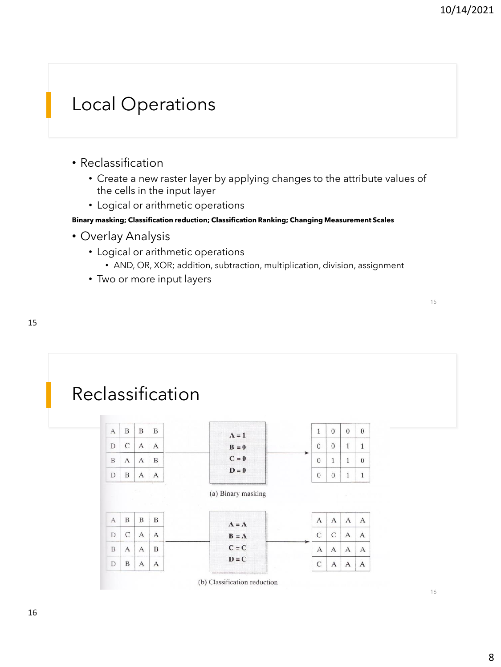15

## Local Operations

- Reclassification
	- Create a new raster layer by applying changes to the attribute values of the cells in the input layer
	- Logical or arithmetic operations

**Binary masking; Classification reduction; Classification Ranking; Changing Measurement Scales**

- Overlay Analysis
	- Logical or arithmetic operations
		- AND, OR, XOR; addition, subtraction, multiplication, division, assignment
	- Two or more input layers

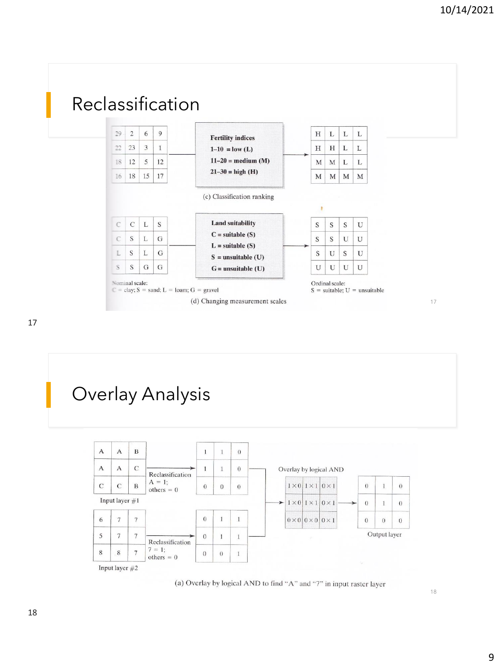

17



(a) Overlay by logical AND to find "A" and "7" in input raster layer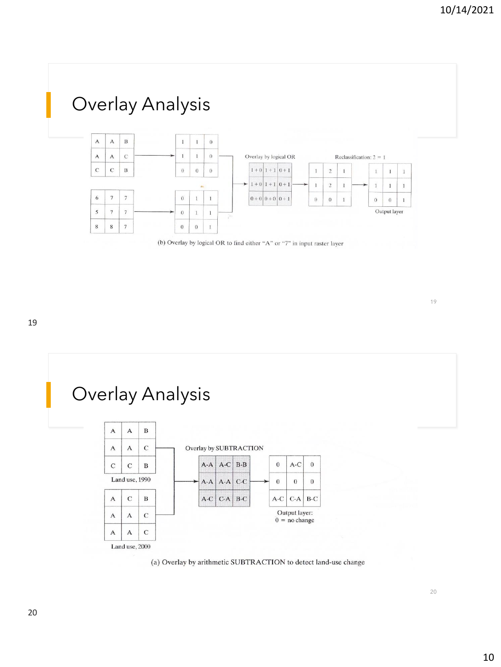

(b) Overlay by logical OR to find either "A" or "7" in input raster layer





20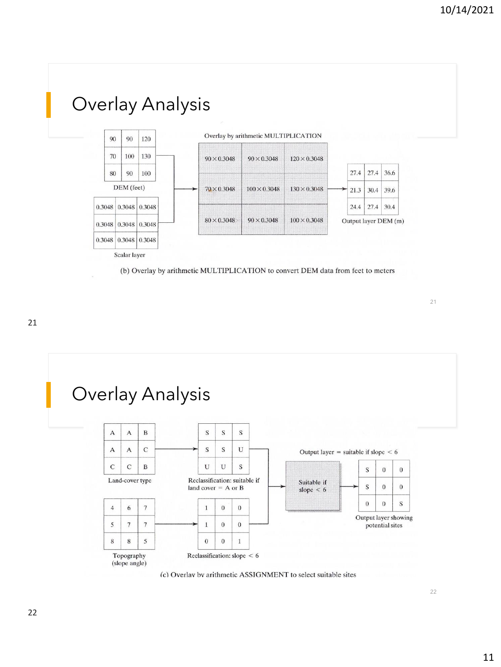

(b) Overlay by arithmetic MULTIPLICATION to convert DEM data from feet to meters

21





(c) Overlav by arithmetic ASSIGNMENT to select suitable sites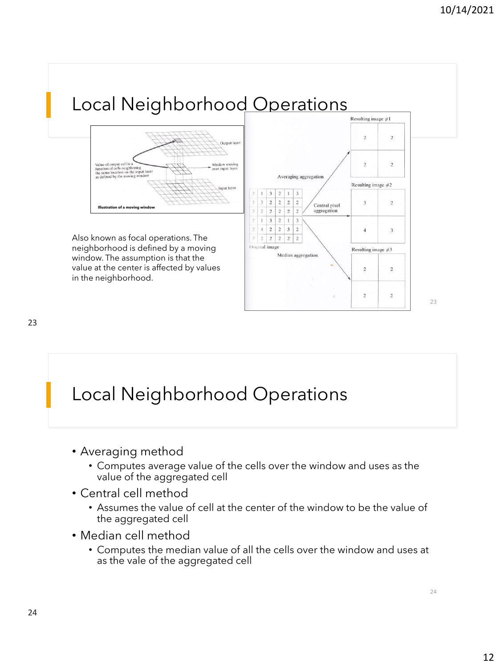

## Local Neighborhood Operations

- Averaging method
	- Computes average value of the cells over the window and uses as the value of the aggregated cell
- Central cell method
	- Assumes the value of cell at the center of the window to be the value of the aggregated cell
- Median cell method
	- Computes the median value of all the cells over the window and uses at as the vale of the aggregated cell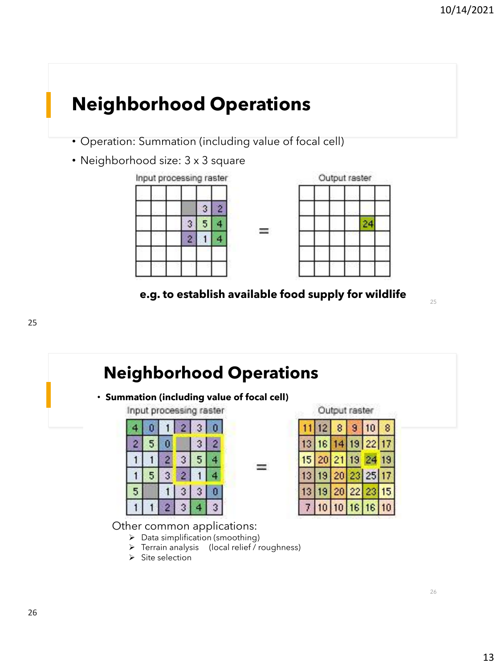## **Neighborhood Operations**

- Operation: Summation (including value of focal cell)
- Neighborhood size: 3 x 3 square





**e.g. to establish available food supply for wildlife**

W

25

26

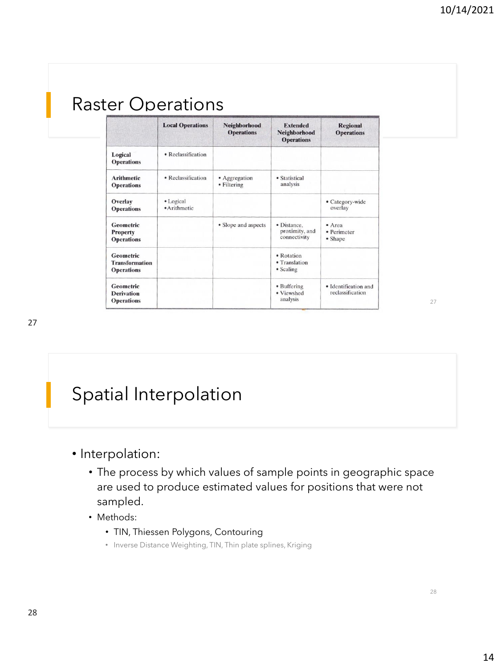|                                                          | <b>Local Operations</b>   | Neighborhood<br><b>Operations</b> | <b>Extended</b><br>Neighborhood<br><b>Operations</b> | <b>Regional</b><br><b>Operations</b>     |
|----------------------------------------------------------|---------------------------|-----------------------------------|------------------------------------------------------|------------------------------------------|
| Logical<br><b>Operations</b>                             | • Reclassification        |                                   |                                                      |                                          |
| <b>Arithmetic</b><br><b>Operations</b>                   | • Reclassification        | • Aggregation<br>• Filtering      | • Statistical<br>analysis                            |                                          |
| Overlay<br><b>Operations</b>                             | • Logical<br>· Arithmetic |                                   |                                                      | • Category-wide<br>overlay               |
| <b>Geometric</b><br><b>Property</b><br><b>Operations</b> |                           | • Slope and aspects               | · Distance.<br>proximity, and<br>connectivity        | • Area<br>· Perimeter<br>• Shape         |
| Geometric<br><b>Transformation</b><br><b>Operations</b>  |                           |                                   | • Rotation<br>• Translation<br>• Scaling             |                                          |
| Geometric<br><b>Derivation</b><br><b>Operations</b>      |                           |                                   | • Buffering<br>· Viewshed<br>analysis                | · Identification and<br>reclassification |

## Spatial Interpolation

- Interpolation:
	- The process by which values of sample points in geographic space are used to produce estimated values for positions that were not sampled.
	- Methods:
		- TIN, Thiessen Polygons, Contouring
		- Inverse Distance Weighting, TIN, Thin plate splines, Kriging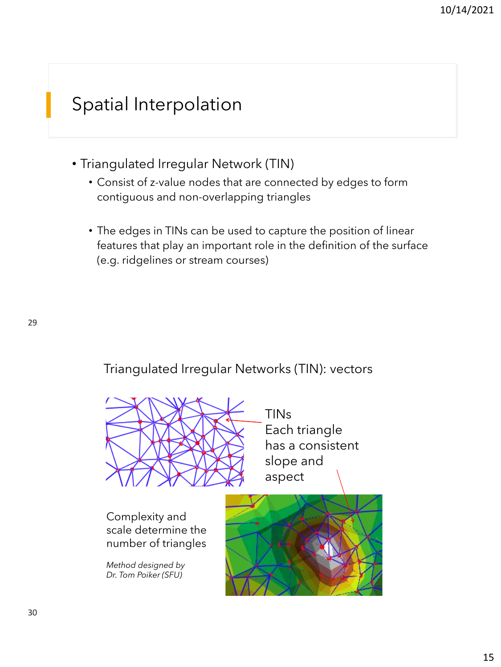## Spatial Interpolation

- Triangulated Irregular Network (TIN)
	- Consist of z-value nodes that are connected by edges to form contiguous and non-overlapping triangles
	- The edges in TINs can be used to capture the position of linear features that play an important role in the definition of the surface (e.g. ridgelines or stream courses)

Triangulated Irregular Networks (TIN): vectors



TINs Each triangle has a consistent slope and aspect

Complexity and scale determine the number of triangles

*Method designed by Dr. Tom Poiker (SFU)*

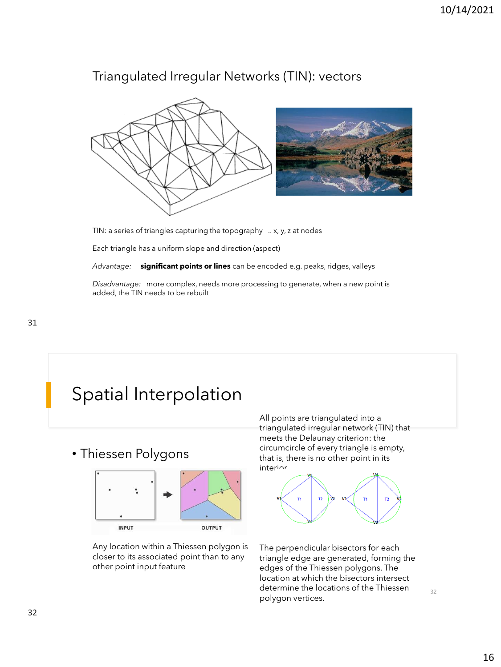### Triangulated Irregular Networks (TIN): vectors



TIN: a series of triangles capturing the topography .. x, y, z at nodes

Each triangle has a uniform slope and direction (aspect)

*Advantage:* **significant points or lines** can be encoded e.g. peaks, ridges, valleys

*Disadvantage:* more complex, needs more processing to generate, when a new point is added, the TIN needs to be rebuilt

## Spatial Interpolation

• Thiessen Polygons



Any location within a Thiessen polygon is closer to its associated point than to any other point input feature

All points are triangulated into a triangulated irregular network (TIN) that meets the Delaunay criterion: the circumcircle of every triangle is empty, that is, there is no other point in its interior.



The perpendicular bisectors for each triangle edge are generated, forming the edges of the Thiessen polygons. The location at which the bisectors intersect determine the locations of the Thiessen polygon vertices.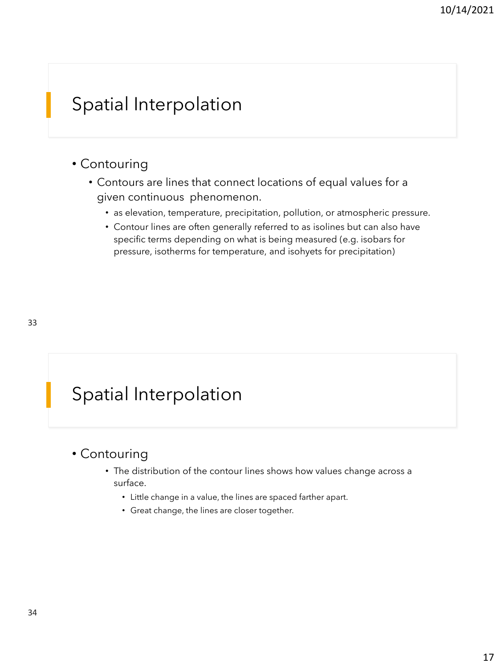## Spatial Interpolation

#### • Contouring

- Contours are lines that connect locations of equal values for a given continuous phenomenon.
	- as elevation, temperature, precipitation, pollution, or atmospheric pressure.
	- Contour lines are often generally referred to as isolines but can also have specific terms depending on what is being measured (e.g. isobars for pressure, isotherms for temperature, and isohyets for precipitation)

## Spatial Interpolation

#### • Contouring

- The distribution of the contour lines shows how values change across a surface.
	- Little change in a value, the lines are spaced farther apart.
	- Great change, the lines are closer together.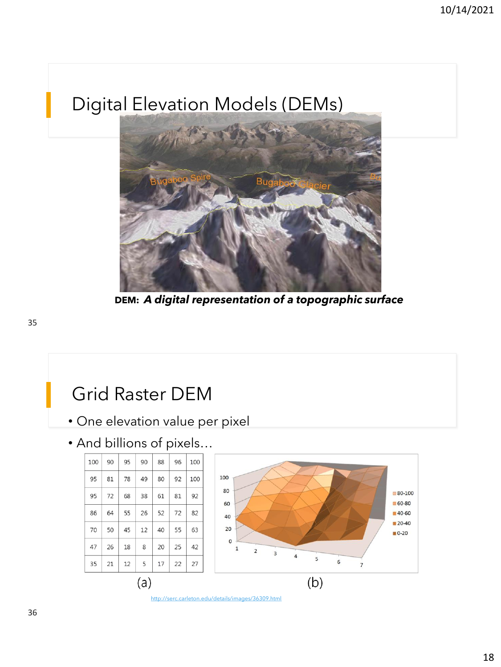## Digital Elevation Models (DEMs)



**DEM:** *A digital representation of a topographic surface*

#### Grid Raster DEM • One elevation value per pixel • And billions of pixels…  $80-100$ 60-80  $72\,$ ■40-60  $20-40$  $\blacksquare$  0-20 O  $18\,$  $\,8\,$  $\overline{1}$  $\overline{2}$  $\overline{3}$  $\overline{a}$  $17\,$



 $(a)$ 

 $\overline{7}$ 

 $(b)$